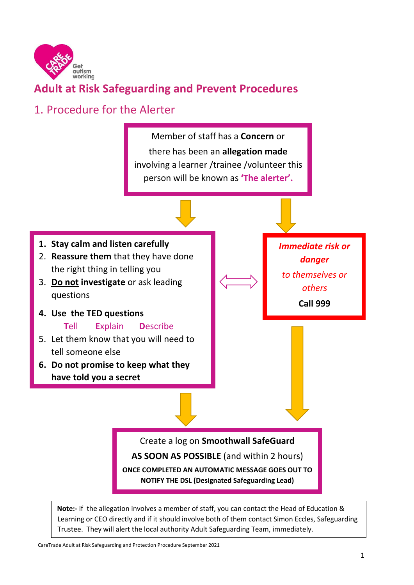

### **Adult at Risk Safeguarding and Prevent Procedures**

## 1. Procedure for the Alerter



**Note:-** If the allegation involves a member of staff, you can contact the Head of Education & Learning or CEO directly and if it should involve both of them contact Simon Eccles, Safeguarding Trustee. They will alert the local authority Adult Safeguarding Team, immediately.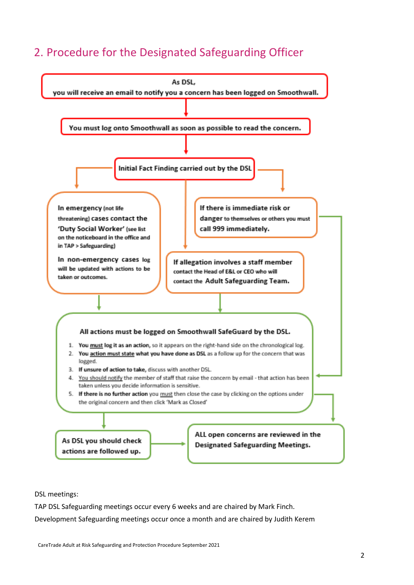### 2. Procedure for the Designated Safeguarding Officer



DSL meetings:

TAP DSL Safeguarding meetings occur every 6 weeks and are chaired by Mark Finch.

Development Safeguarding meetings occur once a month and are chaired by Judith Kerem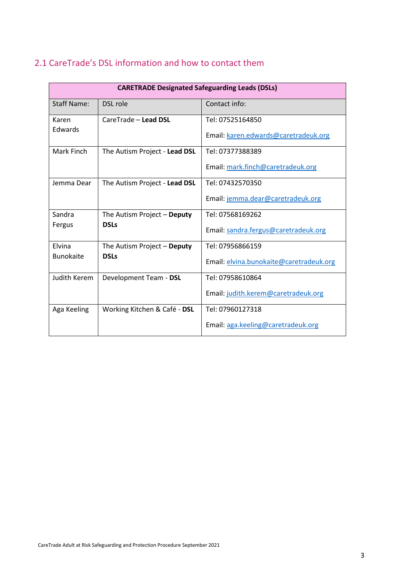| 2.1 CareTrade's DSL information and how to contact them |  |
|---------------------------------------------------------|--|
|---------------------------------------------------------|--|

| <b>CARETRADE Designated Safeguarding Leads (DSLs)</b> |                                         |                                      |  |
|-------------------------------------------------------|-----------------------------------------|--------------------------------------|--|
| Staff Name:                                           | DSL role                                | Contact info:                        |  |
| Karen                                                 | CareTrade - Lead DSL                    | Tel: 07525164850                     |  |
| <b>Edwards</b>                                        |                                         | Email: karen.edwards@caretradeuk.org |  |
| Mark Finch                                            | The Autism Project - Lead DSL           | Tel: 07377388389                     |  |
|                                                       |                                         | Email: mark.finch@caretradeuk.org    |  |
| Jemma Dear                                            | The Autism Project - Lead DSL           | Tel: 07432570350                     |  |
|                                                       |                                         | Email: jemma.dear@caretradeuk.org    |  |
| Sandra                                                | The Autism Project - Deputy             | Tel: 07568169262                     |  |
| Fergus                                                | <b>DSLs</b>                             | Email: sandra.fergus@caretradeuk.org |  |
| Elvina                                                | The Autism Project - Deputy             | Tel: 07956866159                     |  |
| <b>Bunokaite</b><br><b>DSLs</b>                       | Email: elvina.bunokaite@caretradeuk.org |                                      |  |
| Judith Kerem                                          | Development Team - DSL                  | Tel: 07958610864                     |  |
|                                                       |                                         | Email: judith.kerem@caretradeuk.org  |  |
| Aga Keeling                                           | Working Kitchen & Café - DSL            | Tel: 07960127318                     |  |
|                                                       |                                         | Email: aga.keeling@caretradeuk.org   |  |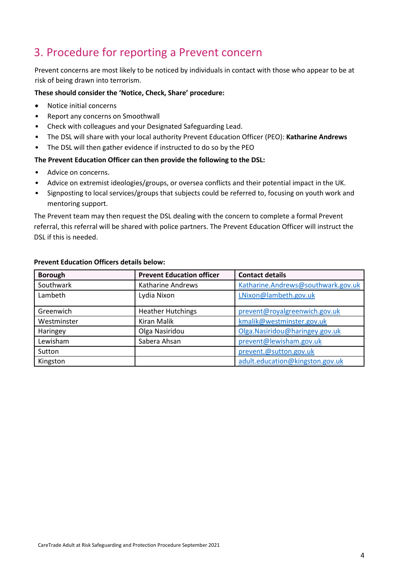### 3. Procedure for reporting a Prevent concern

Prevent concerns are most likely to be noticed by individuals in contact with those who appear to be at risk of being drawn into terrorism.

#### **These should consider the 'Notice, Check, Share' procedure:**

- Notice initial concerns
- Report any concerns on Smoothwall
- Check with colleagues and your Designated Safeguarding Lead.
- The DSL will share with your local authority Prevent Education Officer (PEO): **Katharine Andrews**
- The DSL will then gather evidence if instructed to do so by the PEO

#### **The Prevent Education Officer can then provide the following to the DSL:**

- Advice on concerns.
- Advice on extremist ideologies/groups, or oversea conflicts and their potential impact in the UK.
- Signposting to local services/groups that subjects could be referred to, focusing on youth work and mentoring support.

The Prevent team may then request the DSL dealing with the concern to complete a formal Prevent referral, this referral will be shared with police partners. The Prevent Education Officer will instruct the DSL if this is needed.

| <b>Borough</b> | <b>Prevent Education officer</b> | <b>Contact details</b>             |
|----------------|----------------------------------|------------------------------------|
| Southwark      | Katharine Andrews                | Katharine.Andrews@southwark.gov.uk |
| Lambeth        | Lydia Nixon                      | LNixon@lambeth.gov.uk              |
| Greenwich      | <b>Heather Hutchings</b>         | prevent@royalgreenwich.gov.uk      |
| Westminster    | <b>Kiran Malik</b>               | kmalik@westminster.gov.uk          |
| Haringey       | Olga Nasiridou                   | Olga.Nasiridou@haringey.gov.uk     |
| Lewisham       | Sabera Ahsan                     | prevent@lewisham.gov.uk            |
| Sutton         |                                  | prevent.@sutton.gov.uk             |
| Kingston       |                                  | adult.education@kingston.gov.uk    |

#### **Prevent Education Officers details below:**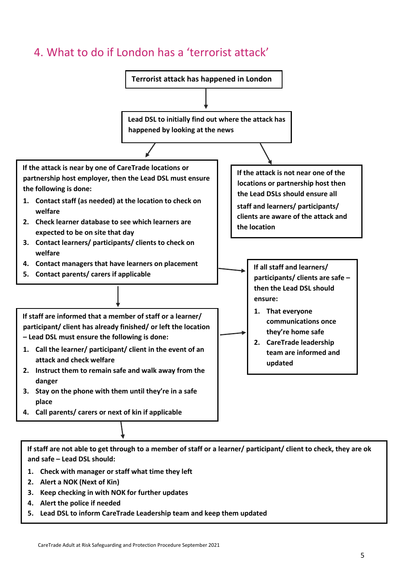### 4. What to do if London has a 'terrorist attack'



- **2. Alert a NOK (Next of Kin)**
- **3. Keep checking in with NOK for further updates**
- **4. Alert the police if needed**
- **5. Lead DSL to inform CareTrade Leadership team and keep them updated**